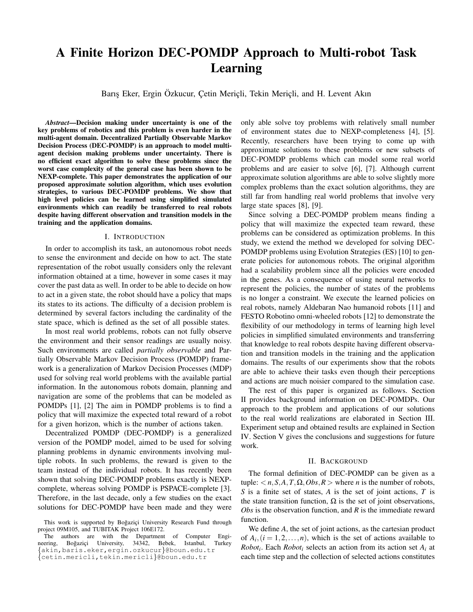# A Finite Horizon DEC-POMDP Approach to Multi-robot Task Learning

Barış Eker, Ergin Özkucur, Çetin Meriçli, Tekin Meriçli, and H. Levent Akın

*Abstract*—Decision making under uncertainty is one of the key problems of robotics and this problem is even harder in the multi-agent domain. Decentralized Partially Observable Markov Decision Process (DEC-POMDP) is an approach to model multiagent decision making problems under uncertainty. There is no efficient exact algorithm to solve these problems since the worst case complexity of the general case has been shown to be NEXP-complete. This paper demonstrates the application of our proposed approximate solution algorithm, which uses evolution strategies, to various DEC-POMDP problems. We show that high level policies can be learned using simplified simulated environments which can readily be transferred to real robots despite having different observation and transition models in the training and the application domains.

#### I. INTRODUCTION

In order to accomplish its task, an autonomous robot needs to sense the environment and decide on how to act. The state representation of the robot usually considers only the relevant information obtained at a time, however in some cases it may cover the past data as well. In order to be able to decide on how to act in a given state, the robot should have a policy that maps its states to its actions. The difficulty of a decision problem is determined by several factors including the cardinality of the state space, which is defined as the set of all possible states.

In most real world problems, robots can not fully observe the environment and their sensor readings are usually noisy. Such environments are called *partially observable* and Partially Observable Markov Decision Process (POMDP) framework is a generalization of Markov Decision Processes (MDP) used for solving real world problems with the available partial information. In the autonomous robots domain, planning and navigation are some of the problems that can be modeled as POMDPs [1], [2] The aim in POMDP problems is to find a policy that will maximize the expected total reward of a robot for a given horizon, which is the number of actions taken.

Decentralized POMDP (DEC-POMDP) is a generalized version of the POMDP model, aimed to be used for solving planning problems in dynamic environments involving multiple robots. In such problems, the reward is given to the team instead of the individual robots. It has recently been shown that solving DEC-POMDP problems exactly is NEXPcomplete, whereas solving POMDP is PSPACE-complete [3]. Therefore, in the last decade, only a few studies on the exact solutions for DEC-POMDP have been made and they were

The authors are with the Department of Computer Engineering, Boğaziçi University, 34342, Bebek, Istanbul, Turkey {akin,baris.eker,ergin.ozkucur}@boun.edu.tr {cetin.mericli,tekin.mericli}@boun.edu.tr

only able solve toy problems with relatively small number of environment states due to NEXP-completeness [4], [5]. Recently, researchers have been trying to come up with approximate solutions to these problems or new subsets of DEC-POMDP problems which can model some real world problems and are easier to solve [6], [7]. Although current approximate solution algorithms are able to solve slightly more complex problems than the exact solution algorithms, they are still far from handling real world problems that involve very large state spaces [8], [9].

Since solving a DEC-POMDP problem means finding a policy that will maximize the expected team reward, these problems can be considered as optimization problems. In this study, we extend the method we developed for solving DEC-POMDP problems using Evolution Strategies (ES) [10] to generate policies for autonomous robots. The original algorithm had a scalability problem since all the policies were encoded in the genes. As a consequence of using neural networks to represent the policies, the number of states of the problems is no longer a constraint. We execute the learned policies on real robots, namely Aldebaran Nao humanoid robots [11] and FESTO Robotino omni-wheeled robots [12] to demonstrate the flexibility of our methodology in terms of learning high level policies in simplified simulated environments and transferring that knowledge to real robots despite having different observation and transition models in the training and the application domains. The results of our experiments show that the robots are able to achieve their tasks even though their perceptions and actions are much noisier compared to the simulation case.

The rest of this paper is organized as follows. Section II provides background information on DEC-POMDPs. Our approach to the problem and applications of our solutions to the real world realizations are elaborated in Section III. Experiment setup and obtained results are explained in Section IV. Section V gives the conclusions and suggestions for future work.

#### II. BACKGROUND

The formal definition of DEC-POMDP can be given as a tuple:  $\langle n, S, A, T, \Omega, Obs, R \rangle$  where *n* is the number of robots, *S* is a finite set of states, *A* is the set of joint actions, *T* is the state transition function,  $\Omega$  is the set of joint observations, *Obs* is the observation function, and *R* is the immediate reward function.

We define *A*, the set of joint actions, as the cartesian product of  $A_i$ ,  $(i = 1, 2, ..., n)$ , which is the set of actions available to *Robot<sup>i</sup>* . Each *Robot<sup>i</sup>* selects an action from its action set *A<sup>i</sup>* at each time step and the collection of selected actions constitutes

This work is supported by Boğazici University Research Fund through project 09M105, and TUBITAK Project 106E172.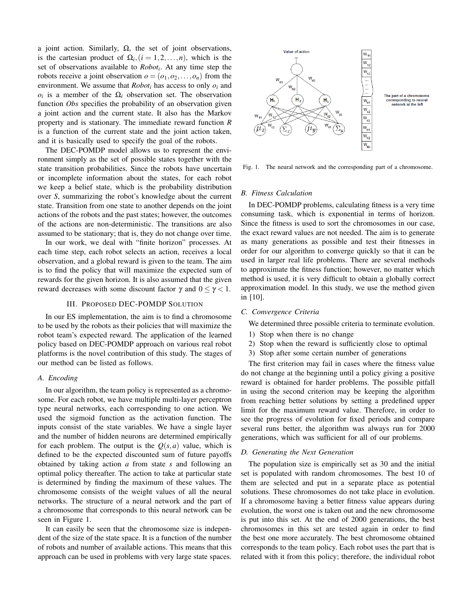a joint action. Similarly,  $\Omega$ , the set of joint observations, is the cartesian product of  $\Omega_i$ ,  $(i = 1, 2, ..., n)$ , which is the set of observations available to *Robot<sup>i</sup>* . At any time step the robots receive a joint observation  $o = (o_1, o_2, \ldots, o_n)$  from the environment. We assume that *Robot<sup>i</sup>* has access to only *o<sup>i</sup>* and  $o_i$  is a member of the  $\Omega_i$  observation set. The observation function *Obs* specifies the probability of an observation given a joint action and the current state. It also has the Markov property and is stationary. The immediate reward function *R* is a function of the current state and the joint action taken, and it is basically used to specify the goal of the robots.

The DEC-POMDP model allows us to represent the environment simply as the set of possible states together with the state transition probabilities. Since the robots have uncertain or incomplete information about the states, for each robot we keep a belief state, which is the probability distribution over *S*, summarizing the robot's knowledge about the current state. Transition from one state to another depends on the joint actions of the robots and the past states; however, the outcomes of the actions are non-deterministic. The transitions are also assumed to be stationary; that is, they do not change over time.

In our work, we deal with "finite horizon" processes. At each time step, each robot selects an action, receives a local observation, and a global reward is given to the team. The aim is to find the policy that will maximize the expected sum of rewards for the given horizon. It is also assumed that the given reward decreases with some discount factor  $\gamma$  and  $0 \leq \gamma < 1$ .

## III. PROPOSED DEC-POMDP SOLUTION

In our ES implementation, the aim is to find a chromosome to be used by the robots as their policies that will maximize the robot team's expected reward. The application of the learned policy based on DEC-POMDP approach on various real robot platforms is the novel contribution of this study. The stages of our method can be listed as follows.

#### *A. Encoding*

In our algorithm, the team policy is represented as a chromosome. For each robot, we have multiple multi-layer perceptron type neural networks, each corresponding to one action. We used the sigmoid function as the activation function. The inputs consist of the state variables. We have a single layer and the number of hidden neurons are determined empirically for each problem. The output is the  $Q(s, a)$  value, which is defined to be the expected discounted sum of future payoffs obtained by taking action *a* from state *s* and following an optimal policy thereafter. The action to take at particular state is determined by finding the maximum of these values. The chromosome consists of the weight values of all the neural networks. The structure of a neural network and the part of a chromosome that corresponds to this neural network can be seen in Figure 1.

It can easily be seen that the chromosome size is independent of the size of the state space. It is a function of the number of robots and number of available actions. This means that this approach can be used in problems with very large state spaces.



Fig. 1. The neural network and the corresponding part of a chromosome.

#### *B. Fitness Calculation*

In DEC-POMDP problems, calculating fitness is a very time consuming task, which is exponential in terms of horizon. Since the fitness is used to sort the chromosomes in our case, the exact reward values are not needed. The aim is to generate as many generations as possible and test their fitnesses in order for our algorithm to converge quickly so that it can be used in larger real life problems. There are several methods to approximate the fitness function; however, no matter which method is used, it is very difficult to obtain a globally correct approximation model. In this study, we use the method given in [10].

#### *C. Convergence Criteria*

We determined three possible criteria to terminate evolution.

- 1) Stop when there is no change
- 2) Stop when the reward is sufficiently close to optimal
- 3) Stop after some certain number of generations

The first criterion may fail in cases where the fitness value do not change at the beginning until a policy giving a positive reward is obtained for harder problems. The possible pitfall in using the second criterion may be keeping the algorithm from reaching better solutions by setting a predefined upper limit for the maximum reward value. Therefore, in order to see the progress of evolution for fixed periods and compare several runs better, the algorithm was always run for 2000 generations, which was sufficient for all of our problems.

## *D. Generating the Next Generation*

The population size is empirically set as 30 and the initial set is populated with random chromosomes. The best 10 of them are selected and put in a separate place as potential solutions. These chromosomes do not take place in evolution. If a chromosome having a better fitness value appears during evolution, the worst one is taken out and the new chromosome is put into this set. At the end of 2000 generations, the best chromosomes in this set are tested again in order to find the best one more accurately. The best chromosome obtained corresponds to the team policy. Each robot uses the part that is related with it from this policy; therefore, the individual robot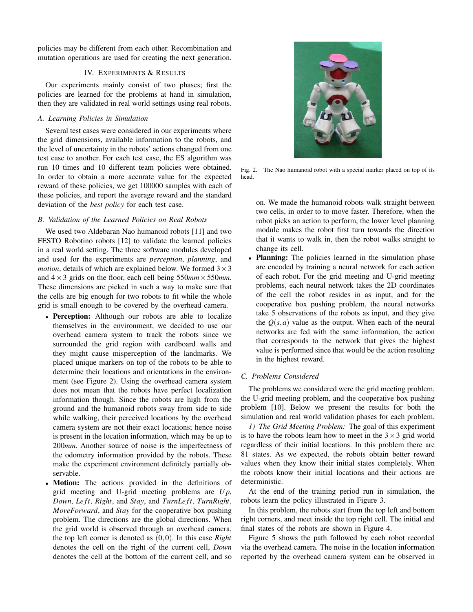policies may be different from each other. Recombination and mutation operations are used for creating the next generation.

# IV. EXPERIMENTS & RESULTS

Our experiments mainly consist of two phases; first the policies are learned for the problems at hand in simulation, then they are validated in real world settings using real robots.

## *A. Learning Policies in Simulation*

Several test cases were considered in our experiments where the grid dimensions, available information to the robots, and the level of uncertainty in the robots' actions changed from one test case to another. For each test case, the ES algorithm was run 10 times and 10 different team policies were obtained. In order to obtain a more accurate value for the expected reward of these policies, we get 100000 samples with each of these policies, and report the average reward and the standard deviation of the *best policy* for each test case.

# *B. Validation of the Learned Policies on Real Robots*

We used two Aldebaran Nao humanoid robots [11] and two FESTO Robotino robots [12] to validate the learned policies in a real world setting. The three software modules developed and used for the experiments are *perception*, *planning*, and *motion*, details of which are explained below. We formed  $3 \times 3$ and  $4 \times 3$  grids on the floor, each cell being  $550$ *mm*  $\times 550$ *mm*. These dimensions are picked in such a way to make sure that the cells are big enough for two robots to fit while the whole grid is small enough to be covered by the overhead camera.

- Perception: Although our robots are able to localize themselves in the environment, we decided to use our overhead camera system to track the robots since we surrounded the grid region with cardboard walls and they might cause misperception of the landmarks. We placed unique markers on top of the robots to be able to determine their locations and orientations in the environment (see Figure 2). Using the overhead camera system does not mean that the robots have perfect localization information though. Since the robots are high from the ground and the humanoid robots sway from side to side while walking, their perceived locations by the overhead camera system are not their exact locations; hence noise is present in the location information, which may be up to 200*mm*. Another source of noise is the imperfectness of the odometry information provided by the robots. These make the experiment environment definitely partially observable.
- Motion: The actions provided in the definitions of grid meeting and U-grid meeting problems are *U p*, *Down*, *Le ft*, *Right*, and *Stay*, and *TurnLe ft*, *TurnRight*, *MoveForward*, and *Stay* for the cooperative box pushing problem. The directions are the global directions. When the grid world is observed through an overhead camera, the top left corner is denoted as (0,0). In this case *Right* denotes the cell on the right of the current cell, *Down* denotes the cell at the bottom of the current cell, and so



Fig. 2. The Nao humanoid robot with a special marker placed on top of its head.

on. We made the humanoid robots walk straight between two cells, in order to to move faster. Therefore, when the robot picks an action to perform, the lower level planning module makes the robot first turn towards the direction that it wants to walk in, then the robot walks straight to change its cell.

• Planning: The policies learned in the simulation phase are encoded by training a neural network for each action of each robot. For the grid meeting and U-grid meeting problems, each neural network takes the 2D coordinates of the cell the robot resides in as input, and for the cooperative box pushing problem, the neural networks take 5 observations of the robots as input, and they give the  $Q(s, a)$  value as the output. When each of the neural networks are fed with the same information, the action that corresponds to the network that gives the highest value is performed since that would be the action resulting in the highest reward.

## *C. Problems Considered*

The problems we considered were the grid meeting problem, the U-grid meeting problem, and the cooperative box pushing problem [10]. Below we present the results for both the simulation and real world validation phases for each problem.

*1) The Grid Meeting Problem:* The goal of this experiment is to have the robots learn how to meet in the  $3 \times 3$  grid world regardless of their initial locations. In this problem there are 81 states. As we expected, the robots obtain better reward values when they know their initial states completely. When the robots know their initial locations and their actions are deterministic.

At the end of the training period run in simulation, the robots learn the policy illustrated in Figure 3.

In this problem, the robots start from the top left and bottom right corners, and meet inside the top right cell. The initial and final states of the robots are shown in Figure 4.

Figure 5 shows the path followed by each robot recorded via the overhead camera. The noise in the location information reported by the overhead camera system can be observed in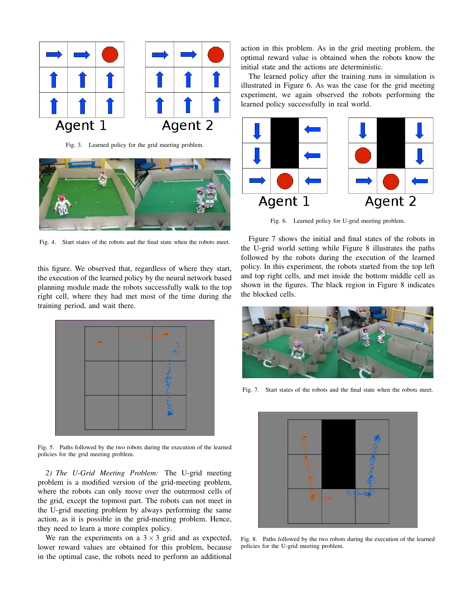

Fig. 3. Learned policy for the grid meeting problem.



Fig. 4. Start states of the robots and the final state when the robots meet.

this figure. We observed that, regardless of where they start, the execution of the learned policy by the neural network based planning module made the robots successfully walk to the top right cell, where they had met most of the time during the training period, and wait there.



Fig. 5. Paths followed by the two robots during the execution of the learned policies for the grid meeting problem.

*2) The U-Grid Meeting Problem:* The U-grid meeting problem is a modified version of the grid-meeting problem, where the robots can only move over the outermost cells of the grid, except the topmost part. The robots can not meet in the U-grid meeting problem by always performing the same action, as it is possible in the grid-meeting problem. Hence, they need to learn a more complex policy.

We ran the experiments on a  $3 \times 3$  grid and as expected, lower reward values are obtained for this problem, because in the optimal case, the robots need to perform an additional action in this problem. As in the grid meeting problem, the optimal reward value is obtained when the robots know the initial state and the actions are deterministic.

The learned policy after the training runs in simulation is illustrated in Figure 6. As was the case for the grid meeting experiment, we again observed the robots performing the learned policy successfully in real world.



Fig. 6. Learned policy for U-grid meeting problem.

Figure 7 shows the initial and final states of the robots in the U-grid world setting while Figure 8 illustrates the paths followed by the robots during the execution of the learned policy. In this experiment, the robots started from the top left and top right cells, and met inside the bottom middle cell as shown in the figures. The black region in Figure 8 indicates the blocked cells.



Fig. 7. Start states of the robots and the final state when the robots meet.



Fig. 8. Paths followed by the two robots during the execution of the learned policies for the U-grid meeting problem.